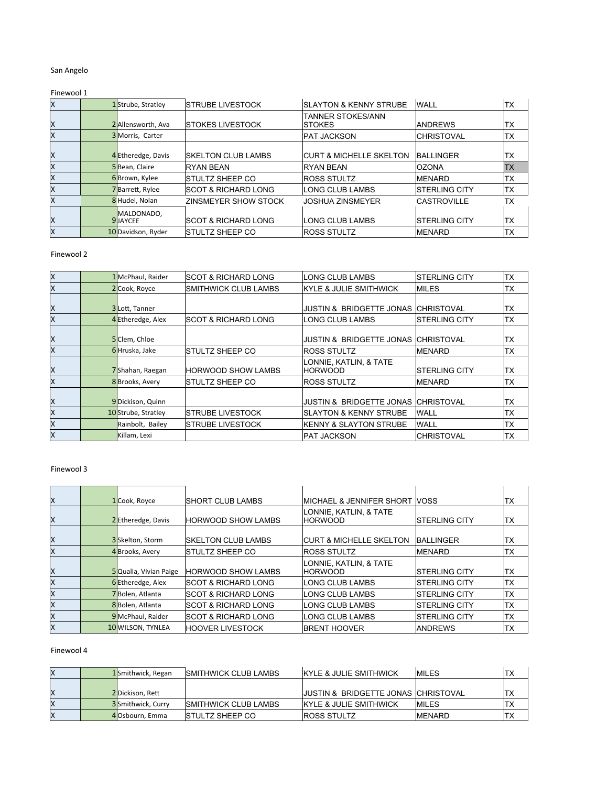## San Angelo

# Finewool 1

| Ιx | 1Strube, Stratley              | ISTRUBE LIVESTOCK               | <b>ISLAYTON &amp; KENNY STRUBE</b>        | <b>WALL</b>        | TХ         |
|----|--------------------------------|---------------------------------|-------------------------------------------|--------------------|------------|
| X  | 2 Allensworth, Ava             | <b>ISTOKES LIVESTOCK</b>        | <b>TANNER STOKES/ANN</b><br><b>STOKES</b> | <b>ANDREWS</b>     | TХ         |
| ΙX | 3 Morris, Carter               |                                 | <b>PAT JACKSON</b>                        | <b>CHRISTOVAL</b>  | ltx        |
| ΙX | 4 Etheredge, Davis             | <b>ISKELTON CLUB LAMBS</b>      | <b>ICURT &amp; MICHELLE SKELTON</b>       | <b>BALLINGER</b>   | <b>TX</b>  |
| ΙX | 5Bean, Claire                  | <b>RYAN BEAN</b>                | <b>RYAN BEAN</b>                          | <b>lozona</b>      | <b>ITX</b> |
| ΙX | 6Brown, Kylee                  | ISTULTZ SHEEP CO                | <b>IROSS STULTZ</b>                       | <b>IMENARD</b>     | lTX        |
| X  | 7Barrett, Rylee                | <b>ISCOT &amp; RICHARD LONG</b> | LONG CLUB LAMBS                           | ISTERLING CITY     | ITX        |
| X  | 8 Hudel, Nolan                 | ZINSMEYER SHOW STOCK            | <b>JOSHUA ZINSMEYER</b>                   | <b>CASTROVILLE</b> | <b>TX</b>  |
| X  | MALDONADO,<br><b>9</b> JJAYCEE | <b>ISCOT &amp; RICHARD LONG</b> | LONG CLUB LAMBS                           | ISTERLING CITY     | ITX        |
| ΙX | 10 Davidson, Ryder             | ISTULTZ SHEEP CO                | <b>IROSS STULTZ</b>                       | <b>IMENARD</b>     | TХ         |

#### Finewool 2

| lχ | 1 McPhaul, Raider   | <b>ISCOT &amp; RICHARD LONG</b> | LONG CLUB LAMBS                     | <b>ISTERLING CITY</b> | TХ        |
|----|---------------------|---------------------------------|-------------------------------------|-----------------------|-----------|
| ΙX | 2 Cook, Royce       | <b>SMITHWICK CLUB LAMBS</b>     | KYLE & JULIE SMITHWICK              | <b>MILES</b>          | TX        |
|    |                     |                                 |                                     |                       |           |
| X  | 3Lott, Tanner       |                                 | <b>JUSTIN &amp; BRIDGETTE JONAS</b> | <b>ICHRISTOVAL</b>    | <b>TX</b> |
| lΧ | 4 Etheredge, Alex   | <b>ISCOT &amp; RICHARD LONG</b> | LONG CLUB LAMBS                     | <b>ISTERLING CITY</b> | ltx       |
|    |                     |                                 |                                     |                       |           |
| ΙX | 5 Clem, Chloe       |                                 | <b>JUSTIN &amp; BRIDGETTE JONAS</b> | <b>ICHRISTOVAL</b>    | <b>TX</b> |
| lχ | 6Hruska, Jake       | <b>ISTULTZ SHEEP CO</b>         | <b>ROSS STULTZ</b>                  | MENARD                | TХ        |
|    |                     |                                 | LONNIE, KATLIN, & TATE              |                       |           |
| Ιx | 7Shahan, Raegan     | <b>HORWOOD SHOW LAMBS</b>       | <b>HORWOOD</b>                      | <b>ISTERLING CITY</b> | ltx       |
| lχ | 8 Brooks, Avery     | ISTULTZ SHEEP CO                | <b>ROSS STULTZ</b>                  | MENARD                | TХ        |
|    |                     |                                 |                                     |                       |           |
| X  | 9Dickison, Quinn    |                                 | <b>JUSTIN &amp; BRIDGETTE JONAS</b> | <b>ICHRISTOVAL</b>    | <b>TX</b> |
| ΙX | 10 Strube, Stratley | ISTRUBE LIVESTOCK               | <b>SLAYTON &amp; KENNY STRUBE</b>   | <b>WALL</b>           | TХ        |
| lΧ | Rainbolt, Bailey    | ISTRUBE LIVESTOCK               | <b>KENNY &amp; SLAYTON STRUBE</b>   | <b>WALL</b>           | ТX        |
| lχ | Killam, Lexi        |                                 | <b>PAT JACKSON</b>                  | <b>ICHRISTOVAL</b>    | <b>TX</b> |

## Finewool 3

| X  | 1 Cook, Royce         | ISHORT CLUB LAMBS               | <b>IMICHAEL &amp; JENNIFER SHORT</b> | <b>NOSS</b>           | ТX |
|----|-----------------------|---------------------------------|--------------------------------------|-----------------------|----|
| X  | 2 Etheredge, Davis    | <b>IHORWOOD SHOW LAMBS</b>      | LONNIE, KATLIN, & TATE<br>IHORWOOD   | <b>ISTERLING CITY</b> | TX |
| ΙX | 3 Skelton, Storm      | ISKELTON CLUB LAMBS             | ICURT & MICHELLE SKELTON             | <b>BALLINGER</b>      | ТX |
| ΙX | 4 Brooks, Avery       | ISTULTZ SHEEP CO                | <b>IROSS STULTZ</b>                  | <b>MENARD</b>         | ТX |
| X  | 5Qualia, Vivian Paige | <b>IHORWOOD SHOW LAMBS</b>      | LONNIE, KATLIN, & TATE<br>IHORWOOD   | <b>ISTERLING CITY</b> | TХ |
| ΙX | 6Etheredge, Alex      | ISCOT & RICHARD LONG            | LONG CLUB LAMBS                      | <b>ISTERLING CITY</b> | TХ |
| X  | 7Bolen, Atlanta       | <b>ISCOT &amp; RICHARD LONG</b> | ILONG CLUB LAMBS                     | <b>ISTERLING CITY</b> | TX |
| ΙX | 8Bolen, Atlanta       | <b>ISCOT &amp; RICHARD LONG</b> | LONG CLUB LAMBS                      | <b>ISTERLING CITY</b> | TХ |
| Ιx | 9McPhaul, Raider      | <b>ISCOT &amp; RICHARD LONG</b> | ILONG CLUB LAMBS                     | <b>ISTERLING CITY</b> | TХ |
| Ιx | 10 WILSON, TYNLEA     | <b>IHOOVER LIVESTOCK</b>        | <b>IBRENT HOOVER</b>                 | IANDREWS              | ТX |

# Finewool 4

| ΙX | 1Smithwick, Regan         | <b>ISMITHWICK CLUB LAMBS</b> | <b>IKYLE &amp; JULIE SMITHWICK</b>              | <b>IMILES</b>  |    |
|----|---------------------------|------------------------------|-------------------------------------------------|----------------|----|
| ΙX | 2Dickison, Rett           |                              | <b>IJUSTIN &amp; BRIDGETTE JONAS CHRISTOVAL</b> |                |    |
| ΙX | <b>3</b> Smithwick. Curry | <b>ISMITHWICK CLUB LAMBS</b> | <b>IKYLE &amp; JULIE SMITHWICK</b>              | <b>IMILES</b>  | TХ |
| ΙX | 40sbourn. Emma            | <b>ISTULTZ SHEEP CO</b>      | <b>ROSS STULTZ</b>                              | <b>IMENARD</b> | TХ |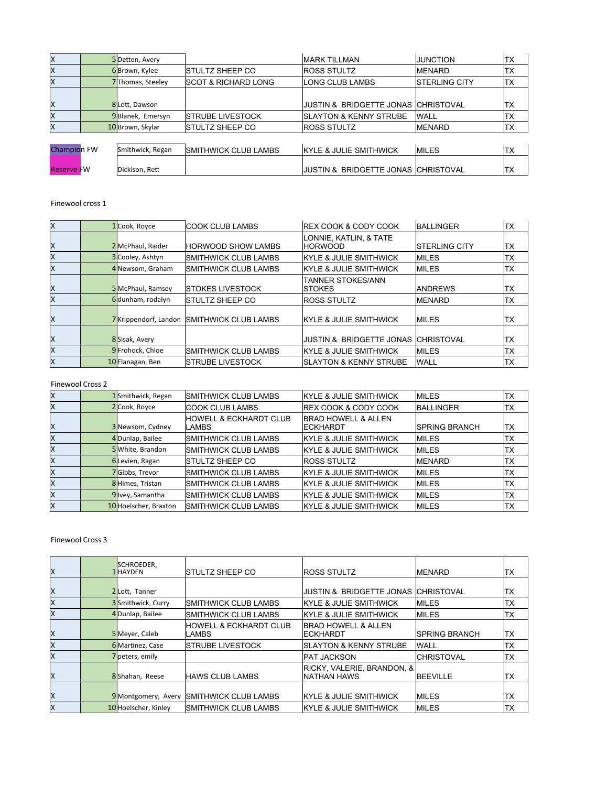| Ιx                 | 5Detten, Avery   |                                 | <b>MARK TILLMAN</b>                 | <b>JUNCTION</b>       | ltx       |
|--------------------|------------------|---------------------------------|-------------------------------------|-----------------------|-----------|
| Ιx                 | 6Brown, Kylee    | <b>ISTULTZ SHEEP CO</b>         | <b>ROSS STULTZ</b>                  | <b>MENARD</b>         | ltx       |
| Ιx                 | 7Thomas, Steeley | <b>ISCOT &amp; RICHARD LONG</b> | LONG CLUB LAMBS                     | <b>ISTERLING CITY</b> | <b>TX</b> |
|                    |                  |                                 |                                     |                       |           |
| ΙX                 | 8Lott, Dawson    |                                 | JUSTIN & BRIDGETTE JONAS CHRISTOVAL |                       | TX        |
| ΙX                 | 9Blanek, Emersyn | <b>ISTRUBE LIVESTOCK</b>        | <b>ISLAYTON &amp; KENNY STRUBE</b>  | <b>WALL</b>           | lТX       |
| Ιx                 | 10Brown, Skylar  | <b>ISTULTZ SHEEP CO</b>         | <b>ROSS STULTZ</b>                  | <b>MENARD</b>         | TX        |
|                    |                  |                                 |                                     |                       |           |
| <b>Champion FW</b> | Smithwick, Regan | <b>ISMITHWICK CLUB LAMBS</b>    | <b>KYLE &amp; JULIE SMITHWICK</b>   | <b>MILES</b>          | ltx       |
|                    |                  |                                 |                                     |                       |           |
| <b>Reserve FW</b>  | Dickison, Rett   |                                 | JUSTIN & BRIDGETTE JONAS CHRISTOVAL |                       | ITX       |

# Finewool cross 1

| lx | 1 Cook, Royce        | <b>ICOOK CLUB LAMBS</b>      | <b>IREX COOK &amp; CODY COOK</b>           | <b>BALLINGER</b>      | TХ        |
|----|----------------------|------------------------------|--------------------------------------------|-----------------------|-----------|
| Ιx | 2 McPhaul, Raider    | <b>HORWOOD SHOW LAMBS</b>    | LONNIE. KATLIN. & TATE<br>IHORWOOD         | <b>ISTERLING CITY</b> | TX        |
| lχ | 3 Cooley, Ashtyn     | <b>ISMITHWICK CLUB LAMBS</b> | <b>IKYLE &amp; JULIE SMITHWICK</b>         | <b>MILES</b>          | TХ        |
| lχ | 4 Newsom, Graham     | <b>ISMITHWICK CLUB LAMBS</b> | <b>IKYLE &amp; JULIE SMITHWICK</b>         | <b>MILES</b>          | TХ        |
| Ιx | 5 McPhaul, Ramsey    | <b>ISTOKES LIVESTOCK</b>     | <b>TANNER STOKES/ANN</b><br><b>ISTOKES</b> | <b>ANDREWS</b>        | IТX       |
| lχ | 6dunham, rodalyn     | <b>ISTULTZ SHEEP CO</b>      | <b>ROSS STULTZ</b>                         | <b>IMENARD</b>        | ITX       |
| lχ | 7Krippendorf, Landon | <b>ISMITHWICK CLUB LAMBS</b> | <b>IKYLE &amp; JULIE SMITHWICK</b>         | <b>IMILES</b>         | IТX       |
| ΙX | 8 Sisak, Avery       |                              | <b>JUSTIN &amp; BRIDGETTE JONAS</b>        | <b>CHRISTOVAL</b>     | <b>TX</b> |
| lχ | 9 Frohock, Chloe     | <b>ISMITHWICK CLUB LAMBS</b> | <b>IKYLE &amp; JULIE SMITHWICK</b>         | <b>MILES</b>          | TХ        |
| lχ | 10 Flanagan, Ben     | <b>ISTRUBE LIVESTOCK</b>     | <b>ISLAYTON &amp; KENNY STRUBE</b>         | <b>WALL</b>           | TХ        |

#### Finewool Cross 2

| lχ | 1Smithwick, Regan     | <b>ISMITHWICK CLUB LAMBS</b>                 | <b>IKYLE &amp; JULIE SMITHWICK</b>          | <b>MILES</b>          | lTX. |
|----|-----------------------|----------------------------------------------|---------------------------------------------|-----------------------|------|
| lχ | 2 Cook, Royce         | ICOOK CLUB LAMBS                             | <b>IREX COOK &amp; CODY COOK</b>            | <b>BALLINGER</b>      | ltx  |
| lχ | 3 Newsom, Cydney      | <b>IHOWELL &amp; ECKHARDT CLUB</b><br>ILAMBS | <b>BRAD HOWELL &amp; ALLEN</b><br>IECKHARDT | <b>ISPRING BRANCH</b> | ltx  |
| X  | 4Dunlap, Bailee       | <b>ISMITHWICK CLUB LAMBS</b>                 | <b>KYLE &amp; JULIE SMITHWICK</b>           | <b>MILES</b>          | ITX  |
| lχ | 5White, Brandon       | <b>ISMITHWICK CLUB LAMBS</b>                 | <b>IKYLE &amp; JULIE SMITHWICK</b>          | <b>MILES</b>          | ltx  |
| lΧ | 6Levien, Ragan        | <b>ISTULTZ SHEEP CO</b>                      | <b>ROSS STULTZ</b>                          | <b>MENARD</b>         | ITX  |
| lχ | 7Gibbs, Trevor        | <b>ISMITHWICK CLUB LAMBS</b>                 | <b>IKYLE &amp; JULIE SMITHWICK</b>          | <b>IMILES</b>         | lTX. |
| lχ | 8 Himes, Tristan      | <b>ISMITHWICK CLUB LAMBS</b>                 | <b>IKYLE &amp; JULIE SMITHWICK</b>          | <b>MILES</b>          | ITX  |
| lχ | 9Ivey, Samantha       | <b>ISMITHWICK CLUB LAMBS</b>                 | <b>IKYLE &amp; JULIE SMITHWICK</b>          | <b>MILES</b>          | ltx  |
| Ιx | 10 Hoelscher, Braxton | <b>ISMITHWICK CLUB LAMBS</b>                 | <b>IKYLE &amp; JULIE SMITHWICK</b>          | <b>MILES</b>          | ltx  |

## Finewool Cross 3

| Ιx | SCHROEDER,<br><b>1</b> HAYDEN | ISTULTZ SHEEP CO                            | <b>ROSS STULTZ</b>                                 | <b>IMENARD</b>        | TX  |
|----|-------------------------------|---------------------------------------------|----------------------------------------------------|-----------------------|-----|
| ΙX | 2Lott, Tanner                 |                                             | JUSTIN & BRIDGETTE JONAS                           | <b>CHRISTOVAL</b>     | TХ  |
| Ιx | 3Smithwick, Curry             | <b>ISMITHWICK CLUB LAMBS</b>                | <b>IKYLE &amp; JULIE SMITHWICK</b>                 | <b>MILES</b>          | TХ  |
| lx | 4Dunlap, Bailee               | <b>ISMITHWICK CLUB LAMBS</b>                | <b>KYLE &amp; JULIE SMITHWICK</b>                  | IMILES                | TX  |
| ΙX | 5 Meyer, Caleb                | <b>IHOWELL &amp; ECKHARDT CLUB</b><br>LAMBS | <b>BRAD HOWELL &amp; ALLEN</b><br><b>IECKHARDT</b> | <b>ISPRING BRANCH</b> | TX  |
| ΙX | 6 Martinez, Case              | <b>ISTRUBE LIVESTOCK</b>                    | <b>ISLAYTON &amp; KENNY STRUBE</b>                 | <b>WALL</b>           | TХ  |
| ΙX | 7 peters, emily               |                                             | <b>PAT JACKSON</b>                                 | <b>ICHRISTOVAL</b>    | ltx |
| Ιx | 8Shahan, Reese                | <b>HAWS CLUB LAMBS</b>                      | RICKY, VALERIE, BRANDON, &<br><b>INATHAN HAWS</b>  | <b>BEEVILLE</b>       | TХ  |
| Ιx | 9 Montgomery, Avery           | <b>ISMITHWICK CLUB LAMBS</b>                | <b>IKYLE &amp; JULIE SMITHWICK</b>                 | <b>MILES</b>          | ΙTΧ |
| Ιx | 10 Hoelscher, Kinley          | <b>ISMITHWICK CLUB LAMBS</b>                | <b>IKYLE &amp; JULIE SMITHWICK</b>                 | <b>MILES</b>          | TХ  |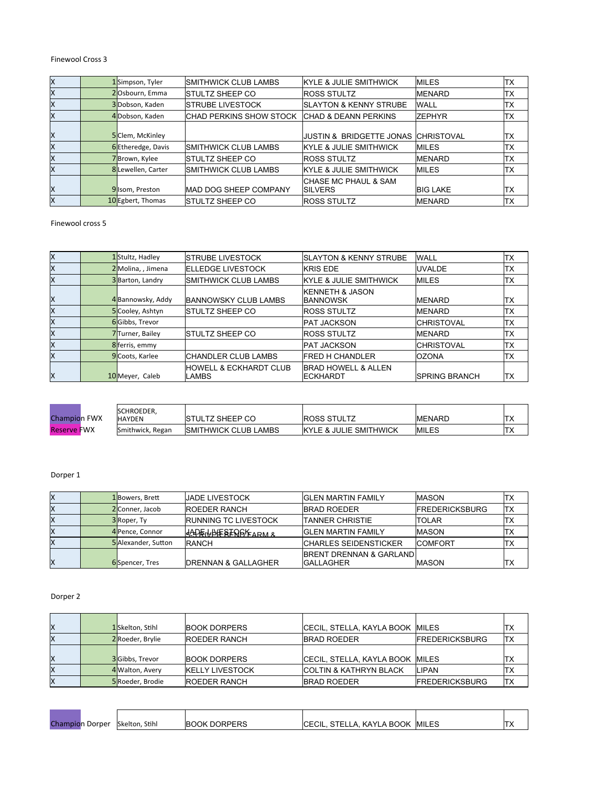# Finewool Cross 3

| lx | 1Simpson, Tyler    | <b>ISMITHWICK CLUB LAMBS</b>    | <b>IKYLE &amp; JULIE SMITHWICK</b>       | <b>MILES</b>    | TХ  |
|----|--------------------|---------------------------------|------------------------------------------|-----------------|-----|
| lχ | 2Osbourn, Emma     | ISTULTZ SHEEP CO                | <b>ROSS STULTZ</b>                       | <b>MENARD</b>   | TХ  |
| lχ | 3Dobson, Kaden     | <b>ISTRUBE LIVESTOCK</b>        | <b>ISLAYTON &amp; KENNY STRUBE</b>       | <b>WALL</b>     | TХ  |
| lχ | 4 Dobson, Kaden    | <b>ICHAD PERKINS SHOW STOCK</b> | <b>CHAD &amp; DEANN PERKINS</b>          | <b>ZEPHYR</b>   | TХ  |
| X  | 5 Clem, McKinley   |                                 | JUSTIN & BRIDGETTE JONAS CHRISTOVAL      |                 | IТX |
| lΧ | 6 Etheredge, Davis | <b>ISMITHWICK CLUB LAMBS</b>    | <b>IKYLE &amp; JULIE SMITHWICK</b>       | <b>IMILES</b>   | TХ  |
| lχ | 7Brown, Kylee      | ISTULTZ SHEEP CO                | <b>ROSS STULTZ</b>                       | <b>MENARD</b>   | lTX |
| lx | 8 Lewellen, Carter | <b>ISMITHWICK CLUB LAMBS</b>    | <b>IKYLE &amp; JULIE SMITHWICK</b>       | <b>MILES</b>    | ΙTΧ |
| ΙX | 9 Isom, Preston    | <b>IMAD DOG SHEEP COMPANY</b>   | ICHASE MC PHAUL & SAM<br><b>ISILVERS</b> | <b>BIG LAKE</b> | ITX |
| lχ | 10 Egbert, Thomas  | <b>ISTULTZ SHEEP CO</b>         | <b>ROSS STULTZ</b>                       | <b>MENARD</b>   | ITX |

Finewool cross 5

| Ιx | 1Stultz, Hadley   | <b>ISTRUBE LIVESTOCK</b>                    | <b>ISLAYTON &amp; KENNY STRUBE</b>                 | <b>WALL</b>           | ltx        |
|----|-------------------|---------------------------------------------|----------------------------------------------------|-----------------------|------------|
| ΙX | 2Molina, Jimena   | <b>IELLEDGE LIVESTOCK</b>                   | <b>KRIS EDE</b>                                    | <b>UVALDE</b>         | ΙTΧ        |
| ΙX | 3 Barton, Landry  | <b>ISMITHWICK CLUB LAMBS</b>                | <b>IKYLE &amp; JULIE SMITHWICK</b>                 | <b>IMILES</b>         | ITX        |
| X  | 4 Bannowsky, Addy | <b>IBANNOWSKY CLUB LAMBS</b>                | <b>KENNETH &amp; JASON</b><br><b>IBANNOWSK</b>     | <b>IMENARD</b>        | ITX        |
| ΙX | 5 Cooley, Ashtyn  | <b>ISTULTZ SHEEP CO</b>                     | <b>ROSS STULTZ</b>                                 | <b>IMENARD</b>        | <b>ITX</b> |
| ΙX | 6Gibbs, Trevor    |                                             | <b>PAT JACKSON</b>                                 | <b>CHRISTOVAL</b>     | TX         |
| ΙX | 7Turner, Bailey   | ISTULTZ SHEEP CO                            | <b>ROSS STULTZ</b>                                 | <b>IMENARD</b>        | ltx        |
| Ιx | 8 ferris, emmy    |                                             | <b>PAT JACKSON</b>                                 | <b>CHRISTOVAL</b>     | lTX        |
| lχ | 9 Coots, Karlee   | <b>ICHANDLER CLUB LAMBS</b>                 | <b>FRED H CHANDLER</b>                             | <b>OZONA</b>          | lTX        |
| X  | 10 Meyer, Caleb   | <b>HOWELL &amp; ECKHARDT CLUB</b><br>llambs | <b>BRAD HOWELL &amp; ALLEN</b><br><b>IECKHARDT</b> | <b>ISPRING BRANCH</b> | TX         |

| <b>Champion FWX</b> | <b>ISCHROEDER.</b><br><b>HAYDEN</b> | <b>ISTULTZ SHEEP CO</b>      | <b>ROSS STULTZ</b>                 | IMENARD       | $\overline{1}$ |
|---------------------|-------------------------------------|------------------------------|------------------------------------|---------------|----------------|
| <b>Reserve FWX</b>  | Smithwick, Regan                    | <b>ISMITHWICK CLUB LAMBS</b> | <b>IKYLE &amp; JULIE SMITHWICK</b> | <b>IMILES</b> | $\overline{1}$ |

# Dorper 1

| lΧ | 1Bowers, Brett             | <b>JJADE LIVESTOCK</b>          | <b>GLEN MARTIN FAMILY</b>                     | <b>IMASON</b>          | ТX         |
|----|----------------------------|---------------------------------|-----------------------------------------------|------------------------|------------|
| lΧ | 2 Conner, Jacob            | <b>ROEDER RANCH</b>             | <b>IBRAD ROEDER</b>                           | <b>IFREDERICKSBURG</b> | <b>ITX</b> |
| lΧ | 3Roper, Ty                 | <b>IRUNNING TC LIVESTOCK</b>    | <b>TANNER CHRISTIE</b>                        | <b>ITOLAR</b>          | ТX         |
| lΧ | 4 Pence, Connor            | HADEILHERERARKEARM &            | <b>GLEN MARTIN FAMILY</b>                     | <b>IMASON</b>          | ТX         |
| lΧ | <b>5</b> Alexander, Sutton | <b>IRANCH</b>                   | <b>CHARLES SEIDENSTICKER</b>                  | <b>COMFORT</b>         | ТX         |
| X  | <b>6</b> Spencer, Tres     | <b>IDRENNAN &amp; GALLAGHER</b> | BRENT DRENNAN & GARLANDI<br><b>IGALLAGHER</b> | <b>IMASON</b>          | 'ΤX        |

Dorper 2

| ΙX | 1 Skelton, Stihl | <b>IBOOK DORPERS</b>    | CECIL, STELLA, KAYLA BOOK MILES    |                       | ΙTΧ        |
|----|------------------|-------------------------|------------------------------------|-----------------------|------------|
| ΙX | 2 Roeder, Brylie | <b>ROEDER RANCH</b>     | <b>IBRAD ROEDER</b>                | <b>FREDERICKSBURG</b> | <b>ITX</b> |
|    |                  |                         |                                    |                       |            |
| ΙX | 3Gibbs, Trevor   | <b>BOOK DORPERS</b>     | CECIL, STELLA, KAYLA BOOK MILES    |                       | 'TX        |
| ΙX | 4 Walton, Avery  | <b>IKELLY LIVESTOCK</b> | <b>ICOLTIN &amp; KATHRYN BLACK</b> | <b>LIPAN</b>          | ТX         |
| ΙX | 5 Roeder, Brodie | <b>IROEDER RANCH</b>    | <b>IBRAD ROEDER</b>                | <b>FREDERICKSBURG</b> | <b>ITX</b> |

| <b>Champion Dorper</b> | Skelton, Stihl | <b>BOOK DORPERS</b> | <b>CECIL. STELLA. KAYLA BOOK</b> | <b>MILES</b> |  |
|------------------------|----------------|---------------------|----------------------------------|--------------|--|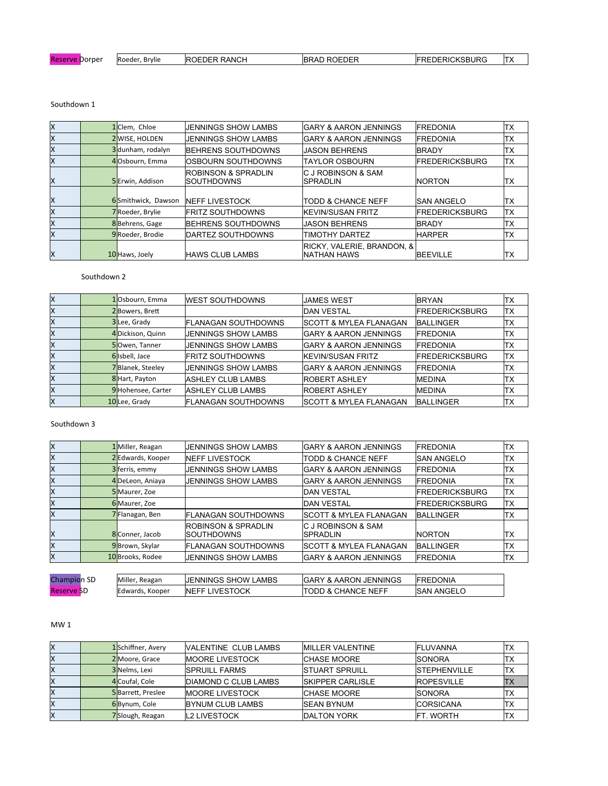| Reserve<br>Dorper | IRoeder.<br>. Brvlie | <b>IROEDER RANCH</b> | `' D ROEDER<br><b>IBRAD</b> | <b>FREDERICKSBURG</b> | $-1$<br>. $\sim$ |
|-------------------|----------------------|----------------------|-----------------------------|-----------------------|------------------|
|                   |                      |                      |                             |                       |                  |

Ξ

# Southdown 1

| Ιx<br>TХ<br>1 Clem, Chloe<br><b>GARY &amp; AARON JENNINGS</b><br><b>FREDONIA</b><br>JENNINGS SHOW LAMBS<br>lχ<br>2 WISE, HOLDEN<br>'TX<br><b>JENNINGS SHOW LAMBS</b><br><b>IGARY &amp; AARON JENNINGS</b><br><b>FREDONIA</b><br>lχ<br>3dunham, rodalyn<br>'TX<br>BEHRENS SOUTHDOWNS<br><b>JASON BEHRENS</b><br><b>BRADY</b><br>ΙX<br>4Osbourn, Emma<br>TХ<br>IOSBOURN SOUTHDOWNS<br><b>TAYLOR OSBOURN</b><br><b>IFREDERICKSBURG</b><br>IC J ROBINSON & SAM<br><b>ROBINSON &amp; SPRADLIN</b><br>lx<br>5Erwin, Addison<br>ISOUTHDOWNS<br>INORTON<br>ΙTΧ<br><b>SPRADLIN</b><br>ΙX<br>6Smithwick, Dawson<br><b>INEFF LIVESTOCK</b><br>TХ<br><b>ITODD &amp; CHANCE NEFF</b><br><b>SAN ANGELO</b><br>lχ<br>TХ<br><b>FREDERICKSBURG</b><br>7Roeder, Brylie<br><b>IFRITZ SOUTHDOWNS</b><br><b>IKEVIN/SUSAN FRITZ</b><br>lχ<br>8Behrens, Gage<br>'TX<br><b>IBEHRENS SOUTHDOWNS</b><br><b>JASON BEHRENS</b><br><b>IBRADY</b><br>lχ<br>9 Roeder, Brodie<br><b>IDARTEZ SOUTHDOWNS</b><br>TIMOTHY DARTEZ<br>TХ<br><b>HARPER</b><br><b>RICKY, VALERIE, BRANDON, &amp;</b><br>Ιx<br><b>INATHAN HAWS</b><br>TХ<br><b>HAWS CLUB LAMBS</b><br><b>BEEVILLE</b><br>10 Haws, Joely |  |  |  |  |
|----------------------------------------------------------------------------------------------------------------------------------------------------------------------------------------------------------------------------------------------------------------------------------------------------------------------------------------------------------------------------------------------------------------------------------------------------------------------------------------------------------------------------------------------------------------------------------------------------------------------------------------------------------------------------------------------------------------------------------------------------------------------------------------------------------------------------------------------------------------------------------------------------------------------------------------------------------------------------------------------------------------------------------------------------------------------------------------------------------------------------------------------------------------|--|--|--|--|
|                                                                                                                                                                                                                                                                                                                                                                                                                                                                                                                                                                                                                                                                                                                                                                                                                                                                                                                                                                                                                                                                                                                                                                |  |  |  |  |
|                                                                                                                                                                                                                                                                                                                                                                                                                                                                                                                                                                                                                                                                                                                                                                                                                                                                                                                                                                                                                                                                                                                                                                |  |  |  |  |
|                                                                                                                                                                                                                                                                                                                                                                                                                                                                                                                                                                                                                                                                                                                                                                                                                                                                                                                                                                                                                                                                                                                                                                |  |  |  |  |
|                                                                                                                                                                                                                                                                                                                                                                                                                                                                                                                                                                                                                                                                                                                                                                                                                                                                                                                                                                                                                                                                                                                                                                |  |  |  |  |
|                                                                                                                                                                                                                                                                                                                                                                                                                                                                                                                                                                                                                                                                                                                                                                                                                                                                                                                                                                                                                                                                                                                                                                |  |  |  |  |
|                                                                                                                                                                                                                                                                                                                                                                                                                                                                                                                                                                                                                                                                                                                                                                                                                                                                                                                                                                                                                                                                                                                                                                |  |  |  |  |
|                                                                                                                                                                                                                                                                                                                                                                                                                                                                                                                                                                                                                                                                                                                                                                                                                                                                                                                                                                                                                                                                                                                                                                |  |  |  |  |
|                                                                                                                                                                                                                                                                                                                                                                                                                                                                                                                                                                                                                                                                                                                                                                                                                                                                                                                                                                                                                                                                                                                                                                |  |  |  |  |
|                                                                                                                                                                                                                                                                                                                                                                                                                                                                                                                                                                                                                                                                                                                                                                                                                                                                                                                                                                                                                                                                                                                                                                |  |  |  |  |
|                                                                                                                                                                                                                                                                                                                                                                                                                                                                                                                                                                                                                                                                                                                                                                                                                                                                                                                                                                                                                                                                                                                                                                |  |  |  |  |

#### Southdown 2

| lχ | 1Osbourn, Emma     | <b>IWEST SOUTHDOWNS</b>    | JAMES WEST                         | <b>BRYAN</b>          | ITX        |
|----|--------------------|----------------------------|------------------------------------|-----------------------|------------|
| lΧ | 2Bowers, Brett     |                            | <b>DAN VESTAL</b>                  | <b>FREDERICKSBURG</b> | TX         |
| ΙX | 3Lee, Grady        | IFLANAGAN SOUTHDOWNS       | <b>ISCOTT &amp; MYLEA FLANAGAN</b> | <b>BALLINGER</b>      | TX         |
| lχ | 4 Dickison, Quinn  | <b>JENNINGS SHOW LAMBS</b> | <b>IGARY &amp; AARON JENNINGS</b>  | <b>IFREDONIA</b>      | ltx        |
| lΧ | 5Owen, Tanner      | <b>JENNINGS SHOW LAMBS</b> | <b>IGARY &amp; AARON JENNINGS</b>  | <b>IFREDONIA</b>      | ITX        |
| X  | 6 Isbell, Jace     | <b>IFRITZ SOUTHDOWNS</b>   | <b>IKEVIN/SUSAN FRITZ</b>          | <b>FREDERICKSBURG</b> | <b>ITX</b> |
| lχ | 7Blanek, Steeley   | <b>JENNINGS SHOW LAMBS</b> | <b>IGARY &amp; AARON JENNINGS</b>  | <b>IFREDONIA</b>      | ltx        |
| lΧ | 8 Hart, Payton     | <b>IASHLEY CLUB LAMBS</b>  | <b>ROBERT ASHLEY</b>               | <b>MEDINA</b>         | ltx        |
| lΧ | 9 Hohensee, Carter | <b>ASHLEY CLUB LAMBS</b>   | <b>ROBERT ASHLEY</b>               | <b>MEDINA</b>         | ITX        |
| X  | 10Lee, Grady       | IFLANAGAN SOUTHDOWNS       | <b>ISCOTT &amp; MYLEA FLANAGAN</b> | <b>BALLINGER</b>      | ltx        |

## Southdown 3

| Ιx                 | 1 Miller, Reagan  | JENNINGS SHOW LAMBS                           | <b>GARY &amp; AARON JENNINGS</b>  | <b>IFREDONIA</b>       | ltx |
|--------------------|-------------------|-----------------------------------------------|-----------------------------------|------------------------|-----|
| lχ                 | 2 Edwards, Kooper | <b>INEFF LIVESTOCK</b>                        | <b>TODD &amp; CHANCE NEFF</b>     | ISAN ANGELO            | TХ  |
| lχ                 | 3 ferris, emmy    | <b>JENNINGS SHOW LAMBS</b>                    | <b>IGARY &amp; AARON JENNINGS</b> | <b>IFREDONIA</b>       | TХ  |
| lχ                 | 4DeLeon, Aniaya   | <b>JENNINGS SHOW LAMBS</b>                    | <b>GARY &amp; AARON JENNINGS</b>  | <b>FREDONIA</b>        | TХ  |
| ΙX                 | 5 Maurer, Zoe     |                                               | <b>DAN VESTAL</b>                 | <b>FREDERICKSBURG</b>  | lTX |
| lχ                 | 6 Maurer, Zoe     |                                               | <b>DAN VESTAL</b>                 | <b>IFREDERICKSBURG</b> | ltx |
| lχ                 | 7Flanagan, Ben    | <b>IFLANAGAN SOUTHDOWNS</b>                   | ISCOTT & MYLEA FLANAGAN           | <b>IBALLINGER</b>      | TХ  |
| lχ                 | 8 Conner, Jacob   | <b>ROBINSON &amp; SPRADLIN</b><br>ISOUTHDOWNS | IC J ROBINSON & SAM<br>SPRADLIN   | <b>NORTON</b>          | IТX |
| lχ                 | 9Brown, Skylar    | IFLANAGAN SOUTHDOWNS                          | ISCOTT & MYLEA FLANAGAN           | <b>IBALLINGER</b>      | TХ  |
| lχ                 | 10 Brooks, Rodee  | <b>JENNINGS SHOW LAMBS</b>                    | <b>IGARY &amp; AARON JENNINGS</b> | <b>IFREDONIA</b>       | ltx |
|                    |                   |                                               |                                   |                        |     |
| <b>Champion SD</b> | Miller, Reagan    | <b>JENNINGS SHOW LAMBS</b>                    | <b>IGARY &amp; AARON JENNINGS</b> | <b>FREDONIA</b>        |     |
|                    |                   |                                               |                                   |                        |     |

Reserve SD Edwards, Kooper NEFF LIVESTOCK TODD & CHANCE NEFF SAN ANGELO

#### MW 1

| ΙX | 1Schiffner, Avery | <b>VALENTINE CLUB LAMBS</b>  | MILLER VALENTINE         | <b>IFLUVANNA</b>     | 'TX |
|----|-------------------|------------------------------|--------------------------|----------------------|-----|
| ΙX | 2 Moore, Grace    | <b>IMOORE LIVESTOCK</b>      | <b>ICHASE MOORE</b>      | <b>SONORA</b>        | 'TX |
| lΧ | 3 Nelms. Lexi     | <b>ISPRUILL FARMS</b>        | <b>ISTUART SPRUILL</b>   | <b>ISTEPHENVILLE</b> | 'ТX |
| lΧ | 4 Coufal, Cole    | <b>IDIAMOND C CLUB LAMBS</b> | <b>ISKIPPER CARLISLE</b> | <b>IROPESVILLE</b>   | lTX |
| lΧ | 5Barrett, Preslee | <b>IMOORE LIVESTOCK</b>      | <b>CHASE MOORE</b>       | <b>SONORA</b>        | 'TX |
| lΧ | 6Bynum, Cole      | <b>BYNUM CLUB LAMBS</b>      | <b>ISEAN BYNUM</b>       | <b>CORSICANA</b>     | IΤX |
| ΙX | 7Slough, Reagan   | <b>L2 LIVESTOCK</b>          | <b>IDALTON YORK</b>      | IFT. WORTH           | ТX  |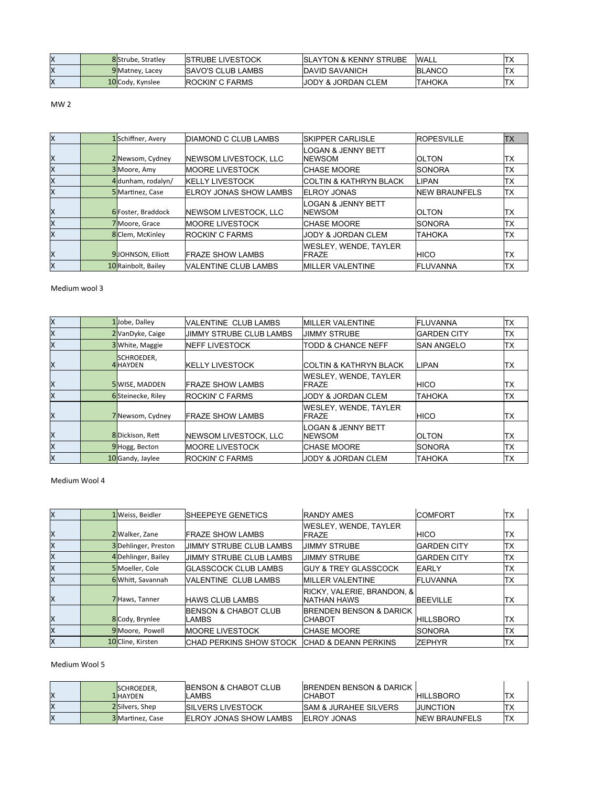| ΙX | 8Strube, Stratley | <b>ISTRUBE LIVESTOCK</b>  | <b>ISLAYTON &amp; KENNY STRUBE</b> | <b>WALL</b>    | $\overline{\phantom{a}}$ |
|----|-------------------|---------------------------|------------------------------------|----------------|--------------------------|
| lΧ | 9 Matney, Lacey   | <b>ISAVO'S CLUB LAMBS</b> | <b>IDAVID SAVANICH</b>             | <b>IBLANCO</b> | Ⅱ∧                       |
| ΙX | 10 Cody, Kynslee  | <b>IROCKIN' C FARMS</b>   | IJODY & JORDAN CLEM                | 'ТАНОКА        | ∣∣∧                      |

 $MW<sub>2</sub>$ 

| lx. | 1Schiffner, Avery   | <b>IDIAMOND C CLUB LAMBS</b>   | ISKIPPER CARLISLE                        | <b>ROPESVILLE</b>    | <b>TX</b>  |
|-----|---------------------|--------------------------------|------------------------------------------|----------------------|------------|
|     |                     |                                | <b>LOGAN &amp; JENNY BETT</b>            |                      |            |
| lΧ  | 2 Newsom, Cydney    | <b>INEWSOM LIVESTOCK, LLC</b>  | <b>NEWSOM</b>                            | <b>OLTON</b>         | TX         |
| lΧ  | 3 Moore, Amy        | <b>IMOORE LIVESTOCK</b>        | ICHASE MOORE                             | <b>ISONORA</b>       | lTX.       |
| lΧ  | 4 dunham, rodalyn/  | <b>IKELLY LIVESTOCK</b>        | ICOLTIN & KATHRYN BLACK                  | LIPAN                | ITX        |
| Ιx  | 5 Martinez, Case    | <b>IELROY JONAS SHOW LAMBS</b> | <b>ELROY JONAS</b>                       | <b>NEW BRAUNFELS</b> | <b>TX</b>  |
| ΙX  | 6 Foster, Braddock  | <b>INEWSOM LIVESTOCK, LLC</b>  | <b>LOGAN &amp; JENNY BETT</b><br>INEWSOM | <b>IOLTON</b>        | ITX        |
| lΧ  | 7 Moore, Grace      | <b>IMOORE LIVESTOCK</b>        | <b>ICHASE MOORE</b>                      | <b>SONORA</b>        | ltx        |
| lχ  | 8 Clem, McKinley    | <b>ROCKIN' C FARMS</b>         | JODY & JORDAN CLEM                       | ІТАНОКА              | <b>ITX</b> |
| ΙX  | 9JOHNSON, Elliott   | <b>IFRAZE SHOW LAMBS</b>       | WESLEY, WENDE, TAYLER<br><b>IFRAZE</b>   | <b>HICO</b>          | ITX        |
| lχ  | 10 Rainbolt, Bailey | VALENTINE CLUB LAMBS           | <b>MILLER VALENTINE</b>                  | <b>FLUVANNA</b>      | ITX        |

Medium wool 3

| Ιx | 1Jobe, Dalley                 | IVALENTINE CLUB LAMBS         | <b>MILLER VALENTINE</b>                | <b>IFLUVANNA</b>    | ltx        |
|----|-------------------------------|-------------------------------|----------------------------------------|---------------------|------------|
| lχ | 2 VanDyke, Caige              | JIMMY STRUBE CLUB LAMBS       | <b>JIMMY STRUBE</b>                    | <b>IGARDEN CITY</b> | TХ         |
| Ιx | 3 White, Maggie               | <b>INEFF LIVESTOCK</b>        | TODD & CHANCE NEFF                     | <b>SAN ANGELO</b>   | TX         |
| lx | SCHROEDER,<br><b>4</b> HAYDEN | <b>IKELLY LIVESTOCK</b>       | <b>ICOLTIN &amp; KATHRYN BLACK</b>     | LIPAN               | <b>TX</b>  |
| lx | 5 WISE, MADDEN                | <b>IFRAZE SHOW LAMBS</b>      | WESLEY. WENDE. TAYLER<br><b>IFRAZE</b> | IHICO               | <b>TX</b>  |
| lχ | 6Steinecke, Riley             | <b>IROCKIN' C FARMS</b>       | <b>JODY &amp; JORDAN CLEM</b>          | <b>TAHOKA</b>       | ltx        |
| Ιx | 7 Newsom, Cydney              | <b>IFRAZE SHOW LAMBS</b>      | WESLEY. WENDE. TAYLER<br><b>IFRAZE</b> | <b>HICO</b>         | <b>TX</b>  |
| ΙX | 8Dickison, Rett               | <b>INEWSOM LIVESTOCK. LLC</b> | LOGAN & JENNY BETT<br>INEWSOM          | IOLTON              | <b>TX</b>  |
| lχ | 9Hogg, Becton                 | <b>IMOORE LIVESTOCK</b>       | ICHASE MOORE                           | <b>ISONORA</b>      | lTX        |
| Ιx | 10 Gandy, Jaylee              | <b>IROCKIN' C FARMS</b>       | <b>JODY &amp; JORDAN CLEM</b>          | <b>TAHOKA</b>       | <b>ITX</b> |

Medium Wool 4

| Ιx | 1 Weiss, Beidler    | <b>ISHEEPEYE GENETICS</b>                 | <b>RANDY AMES</b>                                      | ICOMFORT            | ltx       |
|----|---------------------|-------------------------------------------|--------------------------------------------------------|---------------------|-----------|
|    |                     |                                           | WESLEY. WENDE. TAYLER                                  |                     |           |
| ΙX | 2 Walker, Zane      | IFRAZE SHOW LAMBS                         | <b>IFRAZE</b>                                          | IHICO               | ТX        |
| lχ | 3Dehlinger, Preston | <b>IJIMMY STRUBE CLUB LAMBS</b>           | <b>JIMMY STRUBE</b>                                    | <b>IGARDEN CITY</b> | TX        |
| lχ | 4 Dehlinger, Bailey | <b>JJIMMY STRUBE CLUB LAMBS</b>           | <b>JIMMY STRUBE</b>                                    | <b>IGARDEN CITY</b> | TX        |
| lΧ | 5 Moeller, Cole     | <b>IGLASSCOCK CLUB LAMBS</b>              | <b>IGUY &amp; TREY GLASSCOCK</b>                       | <b>IEARLY</b>       | <b>TX</b> |
| lχ | 6Whitt, Savannah    | VALENTINE CLUB LAMBS                      | <b>MILLER VALENTINE</b>                                | <b>IFLUVANNA</b>    | TХ        |
| Ιx | 7Haws, Tanner       | IHAWS CLUB LAMBS                          | <b>IRICKY, VALERIE, BRANDON, &amp;</b><br>INATHAN HAWS | <b>BEEVILLE</b>     | <b>TX</b> |
| ΙX | 8 Cody, Brynlee     | <b>IBENSON &amp; CHABOT CLUB</b><br>LAMBS | <b>BRENDEN BENSON &amp; DARICK</b><br>ІСНАВОТ          | <b>HILLSBORO</b>    | ITX       |
| lχ | 9 Moore, Powell     | <b>IMOORE LIVESTOCK</b>                   | ICHASE MOORE                                           | ISONORA             | TХ        |
| lx | 10 Cline, Kirsten   | ICHAD PERKINS SHOW STOCK                  | <b>CHAD &amp; DEANN PERKINS</b>                        | IZEPHYR             | TХ        |

# Medium Wool 5

| ΙX | <b>ISCHROEDER,</b><br><b>1</b> HAYDEN | <b>IBENSON &amp; CHABOT CLUB</b><br>.AMBS | <b>IBRENDEN BENSON &amp; DARICK</b><br>ICHABOT | <b>HILLSBORO</b>      | ᄉ              |
|----|---------------------------------------|-------------------------------------------|------------------------------------------------|-----------------------|----------------|
| ΙX | 2Silvers, Shep                        | <b>ISILVERS LIVESTOCK</b>                 | <b>ISAM &amp; JURAHEE SILVERS</b>              | IJUNCTION             |                |
| ΙX | 3 Martinez, Case                      | <b>IELROY JONAS SHOW LAMBS</b>            | <b>IELROY JONAS</b>                            | <b>INEW BRAUNFELS</b> | $\overline{1}$ |